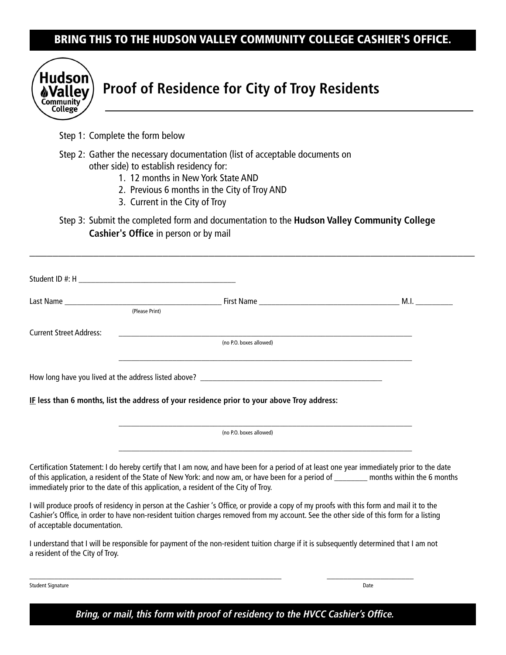# BRING THIS TO THE HUDSON VALLEY COMMUNITY COLLEGE CASHIER'S OFFICE.



# **Proof of Residence for City of Troy Residents**

Step 1: Complete the form below

- Step 2: Gather the necessary documentation (list of acceptable documents on other side) to establish residency for:
	- 1. 12 months in New York State AND
	- 2. Previous 6 months in the City of Troy AND
	- 3. Current in the City of Troy

immediately prior to the date of this application, a resident of the City of Troy.

Step 3: Submit the completed form and documentation to the **Hudson Valley Community College Cashier's Office** in person or by mail

\_\_\_\_\_\_\_\_\_\_\_\_\_\_\_\_\_\_\_\_\_\_\_\_\_\_\_\_\_\_\_\_\_\_\_\_\_\_\_\_\_\_\_\_\_\_\_\_\_\_\_\_\_\_\_\_\_\_\_\_\_\_\_\_\_\_\_\_\_\_\_\_\_\_\_\_\_

|                                | (Please Print)                                                                                                                                                                                                                                                                        | M.I. |  |
|--------------------------------|---------------------------------------------------------------------------------------------------------------------------------------------------------------------------------------------------------------------------------------------------------------------------------------|------|--|
| <b>Current Street Address:</b> | <u> 1989 - Jan Barbara, martxa al III-lea (h. 1989).</u><br>(no P.O. boxes allowed)                                                                                                                                                                                                   |      |  |
|                                |                                                                                                                                                                                                                                                                                       |      |  |
|                                | IF less than 6 months, list the address of your residence prior to your above Troy address:                                                                                                                                                                                           |      |  |
|                                | (no P.O. boxes allowed)                                                                                                                                                                                                                                                               |      |  |
|                                | Certification Statement: I do hereby certify that I am now, and have been for a period of at least one year immediately prior to the date<br>of this application, a resident of the State of New York: and now am, or have been for a period of __________ months within the 6 months |      |  |

I will produce proofs of residency in person at the Cashier 's Office, or provide a copy of my proofs with this form and mail it to the Cashier's Office, in order to have non-resident tuition charges removed from my account. See the other side of this form for a listing of acceptable documentation.

I understand that I will be responsible for payment of the non-resident tuition charge if it is subsequently determined that I am not a resident of the City of Troy.

\_\_\_\_\_\_\_\_\_\_\_\_\_\_\_\_\_\_\_\_\_\_\_\_\_\_\_\_\_\_\_\_\_\_\_\_\_\_\_\_\_\_\_\_\_\_\_\_\_\_\_\_\_\_\_\_\_\_\_\_\_ \_\_\_\_\_\_\_\_\_\_\_\_\_\_\_\_\_\_\_\_\_

Student Signature Date

*Bring, or mail, this form with proof of residency to the HVCC Cashier's Office.*